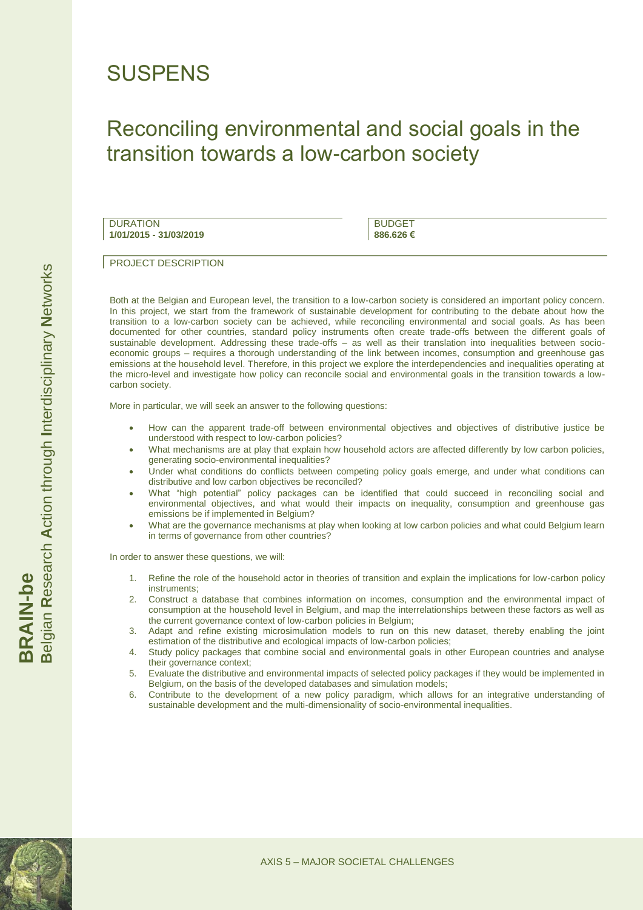## **SUSPENS**

## Reconciling environmental and social goals in the transition towards a low-carbon society

**DURATION 1/01/2015 - 31/03/2019**

BUDGET **886.626 €**

PROJECT DESCRIPTION

Both at the Belgian and European level, the transition to a low-carbon society is considered an important policy concern. In this project, we start from the framework of sustainable development for contributing to the debate about how the transition to a low-carbon society can be achieved, while reconciling environmental and social goals. As has been documented for other countries, standard policy instruments often create trade-offs between the different goals of sustainable development. Addressing these trade-offs – as well as their translation into inequalities between socioeconomic groups – requires a thorough understanding of the link between incomes, consumption and greenhouse gas emissions at the household level. Therefore, in this project we explore the interdependencies and inequalities operating at the micro-level and investigate how policy can reconcile social and environmental goals in the transition towards a lowcarbon society.

More in particular, we will seek an answer to the following questions:

- How can the apparent trade-off between environmental objectives and objectives of distributive justice be understood with respect to low-carbon policies?
- What mechanisms are at play that explain how household actors are affected differently by low carbon policies, generating socio-environmental inequalities?
- Under what conditions do conflicts between competing policy goals emerge, and under what conditions can distributive and low carbon objectives be reconciled?
- What "high potential" policy packages can be identified that could succeed in reconciling social and environmental objectives, and what would their impacts on inequality, consumption and greenhouse gas emissions be if implemented in Belgium?
- What are the governance mechanisms at play when looking at low carbon policies and what could Belgium learn in terms of governance from other countries?

In order to answer these questions, we will:

- 1. Refine the role of the household actor in theories of transition and explain the implications for low-carbon policy instruments;
- 2. Construct a database that combines information on incomes, consumption and the environmental impact of consumption at the household level in Belgium, and map the interrelationships between these factors as well as the current governance context of low-carbon policies in Belgium;
- 3. Adapt and refine existing microsimulation models to run on this new dataset, thereby enabling the joint estimation of the distributive and ecological impacts of low-carbon policies;
- 4. Study policy packages that combine social and environmental goals in other European countries and analyse their governance context;
- 5. Evaluate the distributive and environmental impacts of selected policy packages if they would be implemented in Belgium, on the basis of the developed databases and simulation models;
- 6. Contribute to the development of a new policy paradigm, which allows for an integrative understanding of sustainable development and the multi-dimensionality of socio-environmental inequalities.